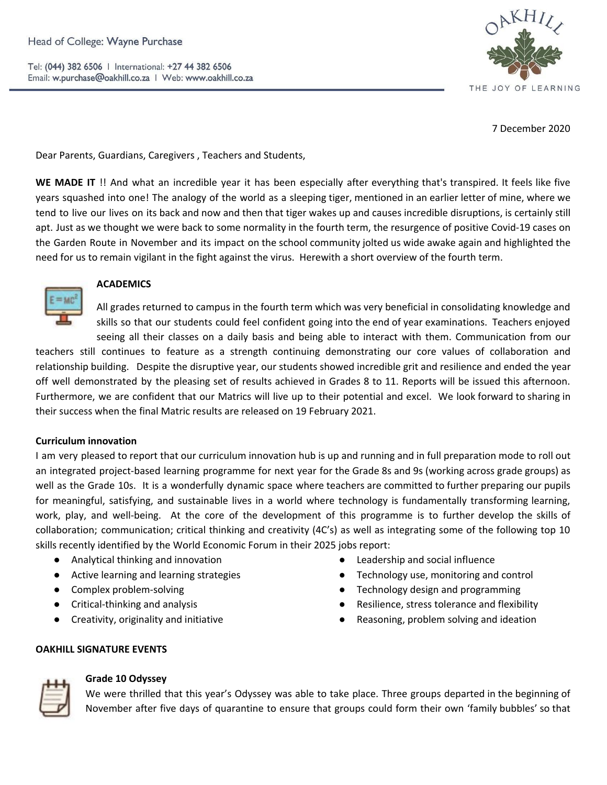

7 December 2020

Dear Parents, Guardians, Caregivers , Teachers and Students,

**WE MADE IT** !! And what an incredible year it has been especially after everything that's transpired. It feels like five years squashed into one! The analogy of the world as a sleeping tiger, mentioned in an earlier letter of mine, where we tend to live our lives on its back and now and then that tiger wakes up and causes incredible disruptions, is certainly still apt. Just as we thought we were back to some normality in the fourth term, the resurgence of positive Covid-19 cases on the Garden Route in November and its impact on the school community jolted us wide awake again and highlighted the need for us to remain vigilant in the fight against the virus. Herewith a short overview of the fourth term.



## **ACADEMICS**

All grades returned to campus in the fourth term which was very beneficial in consolidating knowledge and skills so that our students could feel confident going into the end of year examinations. Teachers enjoyed seeing all their classes on a daily basis and being able to interact with them. Communication from our

teachers still continues to feature as a strength continuing demonstrating our core values of collaboration and relationship building. Despite the disruptive year, our students showed incredible grit and resilience and ended the year off well demonstrated by the pleasing set of results achieved in Grades 8 to 11. Reports will be issued this afternoon. Furthermore, we are confident that our Matrics will live up to their potential and excel. We look forward to sharing in their success when the final Matric results are released on 19 February 2021.

# **Curriculum innovation**

I am very pleased to report that our curriculum innovation hub is up and running and in full preparation mode to roll out an integrated project-based learning programme for next year for the Grade 8s and 9s (working across grade groups) as well as the Grade 10s. It is a wonderfully dynamic space where teachers are committed to further preparing our pupils for meaningful, satisfying, and sustainable lives in a world where technology is fundamentally transforming learning, work, play, and well-being. At the core of the development of this programme is to further develop the skills of collaboration; communication; critical thinking and creativity (4C's) as well as integrating some of the following top 10 skills recently identified by the World Economic Forum in their 2025 jobs report:

- Analytical thinking and innovation
- Active learning and learning strategies
- Complex problem-solving
- Critical-thinking and analysis
- Creativity, originality and initiative
- Leadership and social influence
- Technology use, monitoring and control
- Technology design and programming
- Resilience, stress tolerance and flexibility
- Reasoning, problem solving and ideation

#### **OAKHILL SIGNATURE EVENTS**



## **Grade 10 Odyssey**

We were thrilled that this year's Odyssey was able to take place. Three groups departed in the beginning of November after five days of quarantine to ensure that groups could form their own 'family bubbles' so that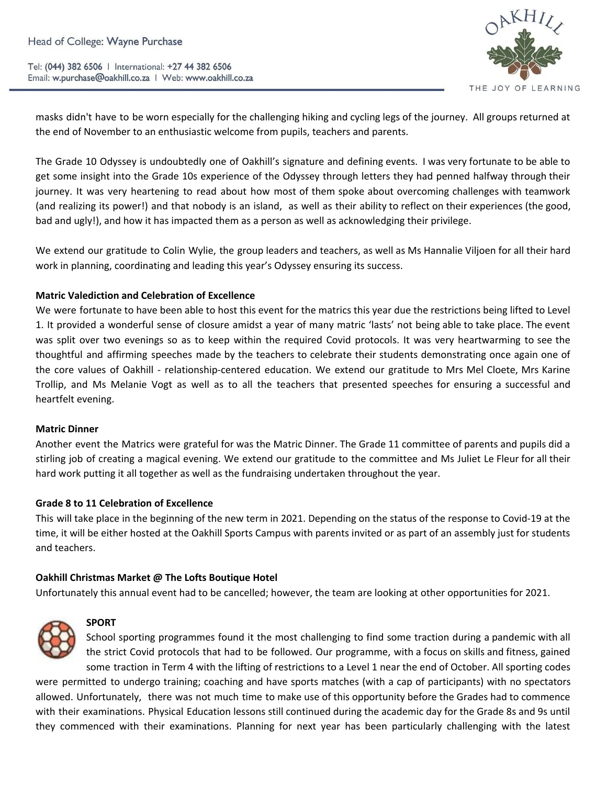

masks didn't have to be worn especially for the challenging hiking and cycling legs of the journey. All groups returned at the end of November to an enthusiastic welcome from pupils, teachers and parents.

The Grade 10 Odyssey is undoubtedly one of Oakhill's signature and defining events. I was very fortunate to be able to get some insight into the Grade 10s experience of the Odyssey through letters they had penned halfway through their journey. It was very heartening to read about how most of them spoke about overcoming challenges with teamwork (and realizing its power!) and that nobody is an island, as well as their ability to reflect on their experiences (the good, bad and ugly!), and how it has impacted them as a person as well as acknowledging their privilege.

We extend our gratitude to Colin Wylie, the group leaders and teachers, as well as Ms Hannalie Viljoen for all their hard work in planning, coordinating and leading this year's Odyssey ensuring its success.

## **Matric Valediction and Celebration of Excellence**

We were fortunate to have been able to host this event for the matrics this year due the restrictions being lifted to Level 1. It provided a wonderful sense of closure amidst a year of many matric 'lasts' not being able to take place. The event was split over two evenings so as to keep within the required Covid protocols. It was very heartwarming to see the thoughtful and affirming speeches made by the teachers to celebrate their students demonstrating once again one of the core values of Oakhill - relationship-centered education. We extend our gratitude to Mrs Mel Cloete, Mrs Karine Trollip, and Ms Melanie Vogt as well as to all the teachers that presented speeches for ensuring a successful and heartfelt evening.

#### **Matric Dinner**

Another event the Matrics were grateful for was the Matric Dinner. The Grade 11 committee of parents and pupils did a stirling job of creating a magical evening. We extend our gratitude to the committee and Ms Juliet Le Fleur for all their hard work putting it all together as well as the fundraising undertaken throughout the year.

#### **Grade 8 to 11 Celebration of Excellence**

This will take place in the beginning of the new term in 2021. Depending on the status of the response to Covid-19 at the time, it will be either hosted at the Oakhill Sports Campus with parents invited or as part of an assembly just for students and teachers.

#### **Oakhill Christmas Market @ The Lofts Boutique Hotel**

Unfortunately this annual event had to be cancelled; however, the team are looking at other opportunities for 2021.



#### **SPORT**

School sporting programmes found it the most challenging to find some traction during a pandemic with all the strict Covid protocols that had to be followed. Our programme, with a focus on skills and fitness, gained some traction in Term 4 with the lifting of restrictions to a Level 1 near the end of October. All sporting codes

were permitted to undergo training; coaching and have sports matches (with a cap of participants) with no spectators allowed. Unfortunately, there was not much time to make use of this opportunity before the Grades had to commence with their examinations. Physical Education lessons still continued during the academic day for the Grade 8s and 9s until they commenced with their examinations. Planning for next year has been particularly challenging with the latest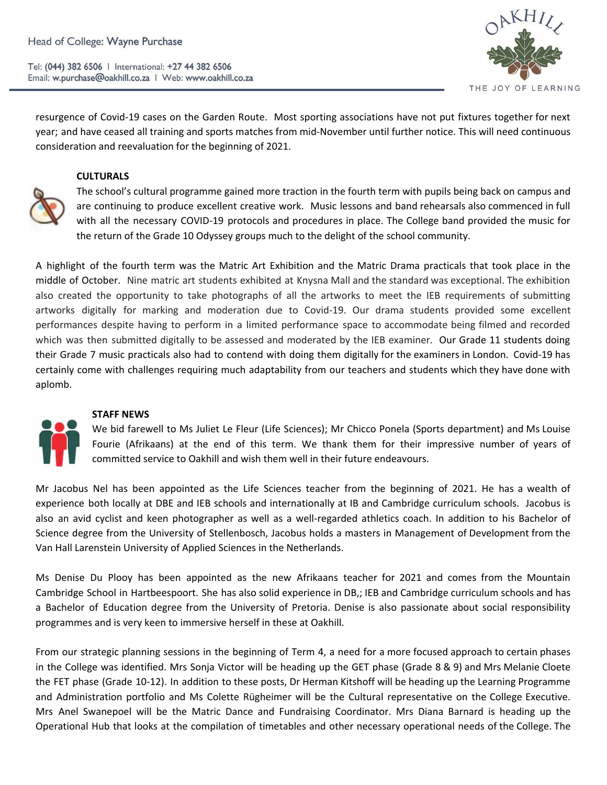

resurgence of Covid-19 cases on the Garden Route. Most sporting associations have not put fixtures together for next year; and have ceased all training and sports matches from mid-November until further notice. This will need continuous consideration and reevaluation for the beginning of 2021.

## **CULTURALS**



The school's cultural programme gained more traction in the fourth term with pupils being back on campus and are continuing to produce excellent creative work. Music lessons and band rehearsals also commenced in full with all the necessary COVID-19 protocols and procedures in place. The College band provided the music for the return of the Grade 10 Odyssey groups much to the delight of the school community.

A highlight of the fourth term was the Matric Art Exhibition and the Matric Drama practicals that took place in the middle of October. Nine matric art students exhibited at Knysna Mall and the standard was exceptional. The exhibition also created the opportunity to take photographs of all the artworks to meet the IEB requirements of submitting artworks digitally for marking and moderation due to Covid-19. Our drama students provided some excellent performances despite having to perform in a limited performance space to accommodate being filmed and recorded which was then submitted digitally to be assessed and moderated by the IEB examiner. Our Grade 11 students doing their Grade 7 music practicals also had to contend with doing them digitally for the examiners in London. Covid-19 has certainly come with challenges requiring much adaptability from our teachers and students which they have done with aplomb.



# **STAFF NEWS**

We bid farewell to Ms Juliet Le Fleur (Life Sciences); Mr Chicco Ponela (Sports department) and Ms Louise Fourie (Afrikaans) at the end of this term. We thank them for their impressive number of years of committed service to Oakhill and wish them well in their future endeavours.

Mr Jacobus Nel has been appointed as the Life Sciences teacher from the beginning of 2021. He has a wealth of experience both locally at DBE and IEB schools and internationally at IB and Cambridge curriculum schools. Jacobus is also an avid cyclist and keen photographer as well as a well-regarded athletics coach. In addition to his Bachelor of Science degree from the University of Stellenbosch, Jacobus holds a masters in Management of Development from the Van Hall Larenstein University of Applied Sciences in the Netherlands.

Ms Denise Du Plooy has been appointed as the new Afrikaans teacher for 2021 and comes from the Mountain Cambridge School in Hartbeespoort. She has also solid experience in DB,; IEB and Cambridge curriculum schools and has a Bachelor of Education degree from the University of Pretoria. Denise is also passionate about social responsibility programmes and is very keen to immersive herself in these at Oakhill.

From our strategic planning sessions in the beginning of Term 4, a need for a more focused approach to certain phases in the College was identified. Mrs Sonja Victor will be heading up the GET phase (Grade 8 & 9) and Mrs Melanie Cloete the FET phase (Grade 10-12). In addition to these posts, Dr Herman Kitshoff will be heading up the Learning Programme and Administration portfolio and Ms Colette Rügheimer will be the Cultural representative on the College Executive. Mrs Anel Swanepoel will be the Matric Dance and Fundraising Coordinator. Mrs Diana Barnard is heading up the Operational Hub that looks at the compilation of timetables and other necessary operational needs of the College. The